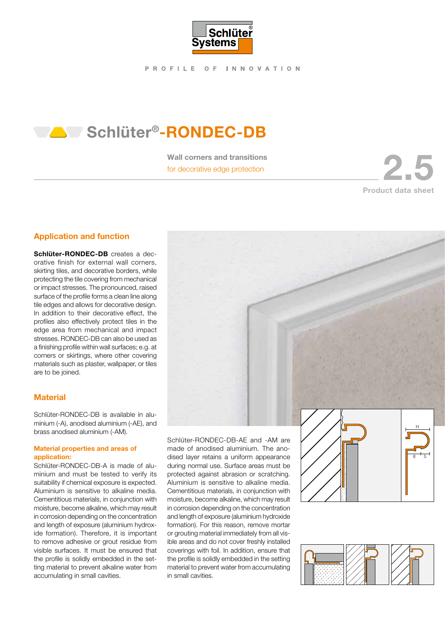

# **Schlüter®-RONDEC-DB**

Wall corners and transitions

Wall corners and transitions<br>for decorative edge protection Product data sheet

## Application and function

Schlüter-RONDEC-DB creates a decorative finish for external wall corners, skirting tiles, and decorative borders, while protecting the tile covering from mechanical or impact stresses. The pronounced, raised surface of the profile forms a clean line along tile edges and allows for decorative design. In addition to their decorative effect, the profiles also effectively protect tiles in the edge area from mechanical and impact stresses. RONDEC-DB can also be used as a finishing profile within wall surfaces; e.g. at corners or skirtings, where other covering materials such as plaster, wallpaper, or tiles are to be joined.

## **Material**

Schlüter-RONDEC-DB is available in aluminium (-A), anodised aluminium (-AE), and brass anodised aluminium (-AM).

### Material properties and areas of application:

Schlüter-RONDEC-DB-A is made of aluminium and must be tested to verify its suitability if chemical exposure is expected. Aluminium is sensitive to alkaline media. Cementitious materials, in conjunction with moisture, become alkaline, which may result in corrosion depending on the concentration and length of exposure (aluminium hydroxide formation). Therefore, it is important to remove adhesive or grout residue from visible surfaces. It must be ensured that the profile is solidly embedded in the setting material to prevent alkaline water from accumulating in small cavities.

made of anodised aluminium. The anodised layer retains a uniform appearance during normal use. Surface areas must be protected against abrasion or scratching. Aluminium is sensitive to alkaline media. Cementitious materials, in conjunction with moisture, become alkaline, which may result in corrosion depending on the concentration and length of exposure (aluminium hydroxide formation). For this reason, remove mortar or grouting material immediately from all visible areas and do not cover freshly installed coverings with foil. In addition, ensure that the profile is solidly embedded in the setting material to prevent water from accumulating in small cavities.